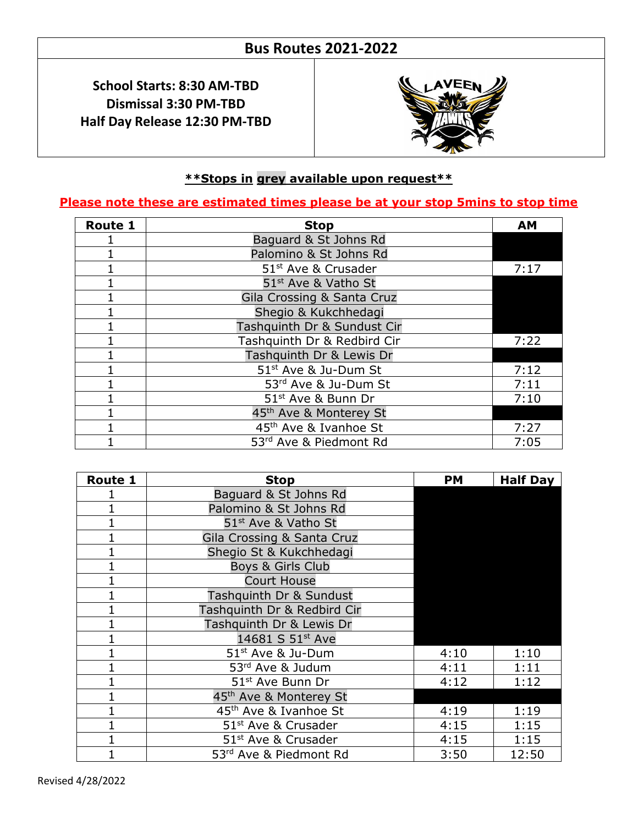## **Bus Routes 2021-2022**

**School Starts: 8:30 AM-TBD Dismissal 3:30 PM-TBD Half Day Release 12:30 PM-TBD**



#### **\*\*Stops in grey available upon request\*\***

 $\overline{a}$ 

#### **Please note these are estimated times please be at your stop 5mins to stop time**

| <b>Route 1</b> | <b>Stop</b>                        | AМ   |
|----------------|------------------------------------|------|
|                | Baguard & St Johns Rd              |      |
|                | Palomino & St Johns Rd             |      |
|                | 51 <sup>st</sup> Ave & Crusader    | 7:17 |
|                | 51 <sup>st</sup> Ave & Vatho St    |      |
|                | Gila Crossing & Santa Cruz         |      |
|                | Shegio & Kukchhedagi               |      |
|                | Tashquinth Dr & Sundust Cir        |      |
|                | Tashquinth Dr & Redbird Cir        | 7:22 |
|                | Tashquinth Dr & Lewis Dr           |      |
|                | 51 <sup>st</sup> Ave & Ju-Dum St   | 7:12 |
|                | 53rd Ave & Ju-Dum St               | 7:11 |
|                | 51st Ave & Bunn Dr                 | 7:10 |
|                | 45 <sup>th</sup> Ave & Monterey St |      |
|                | 45 <sup>th</sup> Ave & Ivanhoe St  | 7:27 |
|                | 53rd Ave & Piedmont Rd             | 7:05 |

| Route 1 | <b>Stop</b>                        | <b>PM</b> | <b>Half Day</b> |
|---------|------------------------------------|-----------|-----------------|
|         | Baguard & St Johns Rd              |           |                 |
|         | Palomino & St Johns Rd             |           |                 |
|         | 51 <sup>st</sup> Ave & Vatho St    |           |                 |
|         | Gila Crossing & Santa Cruz         |           |                 |
|         | Shegio St & Kukchhedagi            |           |                 |
|         | Boys & Girls Club                  |           |                 |
|         | <b>Court House</b>                 |           |                 |
|         | Tashquinth Dr & Sundust            |           |                 |
|         | Tashquinth Dr & Redbird Cir        |           |                 |
|         | Tashquinth Dr & Lewis Dr           |           |                 |
|         | 14681 S 51st Ave                   |           |                 |
|         | 51 <sup>st</sup> Ave & Ju-Dum      | 4:10      | 1:10            |
|         | 53rd Ave & Judum                   | 4:11      | 1:11            |
|         | 51 <sup>st</sup> Ave Bunn Dr       | 4:12      | 1:12            |
|         | 45 <sup>th</sup> Ave & Monterey St |           |                 |
|         | 45 <sup>th</sup> Ave & Ivanhoe St  | 4:19      | 1:19            |
|         | 51 <sup>st</sup> Ave & Crusader    | 4:15      | 1:15            |
|         | 51 <sup>st</sup> Ave & Crusader    | 4:15      | 1:15            |
|         | 53rd Ave & Piedmont Rd             | 3:50      | 12:50           |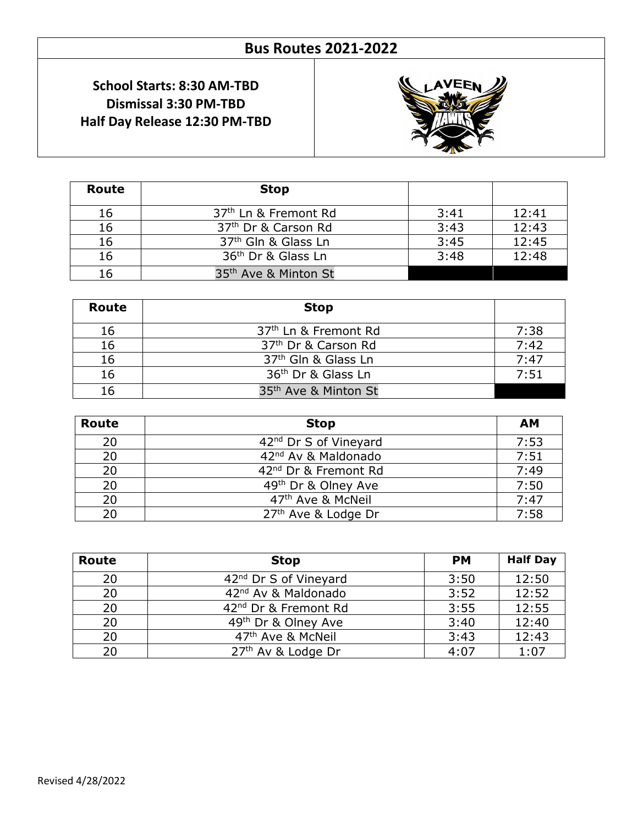# **Bus Routes 2021-2022**

### **School Starts: 8:30 AM-TBD Dismissal 3:30 PM-TBD Half Day Release 12:30 PM-TBD**



| Route | <b>Stop</b>                      |      |       |
|-------|----------------------------------|------|-------|
| 16    | 37 <sup>th</sup> Ln & Fremont Rd | 3:41 | 12:41 |
| 16    | 37 <sup>th</sup> Dr & Carson Rd  | 3:43 | 12:43 |
| 16    | 37 <sup>th</sup> Gln & Glass Ln  | 3:45 | 12:45 |
| 16    | 36 <sup>th</sup> Dr & Glass Ln   | 3:48 | 12:48 |
| 16    | 35 <sup>th</sup> Ave & Minton St |      |       |

 $\overline{a}$ 

| Route | <b>Stop</b>                      |      |
|-------|----------------------------------|------|
| 16    | 37 <sup>th</sup> Ln & Fremont Rd | 7:38 |
| 16    | 37 <sup>th</sup> Dr & Carson Rd  | 7:42 |
| 16    | 37 <sup>th</sup> Gln & Glass Ln  | 7:47 |
| 16    | 36 <sup>th</sup> Dr & Glass Ln   | 7:51 |
|       | 35 <sup>th</sup> Ave & Minton St |      |

| Route | <b>Stop</b>                       | <b>AM</b> |
|-------|-----------------------------------|-----------|
| 20    | 42 <sup>nd</sup> Dr S of Vineyard | 7:53      |
| 20    | 42 <sup>nd</sup> Av & Maldonado   | 7:51      |
| 20    | 42 <sup>nd</sup> Dr & Fremont Rd  | 7:49      |
| 20    | 49th Dr & Olney Ave               | 7:50      |
| 20    | 47 <sup>th</sup> Ave & McNeil     | 7:47      |
| 20    | 27 <sup>th</sup> Ave & Lodge Dr   | 7:58      |

| Route | <b>Stop</b>                       | <b>PM</b> | <b>Half Day</b> |
|-------|-----------------------------------|-----------|-----------------|
| 20    | 42 <sup>nd</sup> Dr S of Vineyard | 3:50      | 12:50           |
| 20    | 42 <sup>nd</sup> Av & Maldonado   | 3:52      | 12:52           |
| 20    | 42 <sup>nd</sup> Dr & Fremont Rd  | 3:55      | 12:55           |
| 20    | 49 <sup>th</sup> Dr & Olney Ave   | 3:40      | 12:40           |
| 20    | 47 <sup>th</sup> Ave & McNeil     | 3:43      | 12:43           |
| 20    | 27th Av & Lodge Dr                | 4:07      | 1:07            |